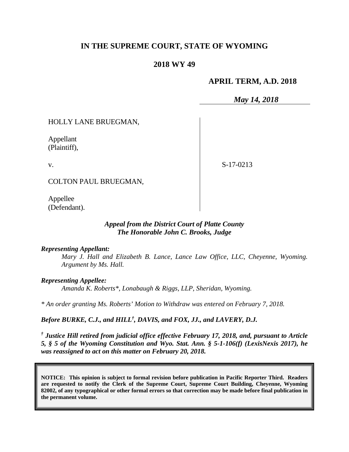### **IN THE SUPREME COURT, STATE OF WYOMING**

### **2018 WY 49**

### **APRIL TERM, A.D. 2018**

*May 14, 2018*

HOLLY LANE BRUEGMAN,

Appellant (Plaintiff),

v.

S-17-0213

COLTON PAUL BRUEGMAN,

Appellee (Defendant).

#### *Appeal from the District Court of Platte County The Honorable John C. Brooks, Judge*

#### *Representing Appellant:*

*Mary J. Hall and Elizabeth B. Lance, Lance Law Office, LLC, Cheyenne, Wyoming. Argument by Ms. Hall.*

*Representing Appellee:*

*Amanda K. Roberts\*, Lonabaugh & Riggs, LLP, Sheridan, Wyoming.*

*\* An order granting Ms. Roberts' Motion to Withdraw was entered on February 7, 2018.* 

*Before BURKE, C.J., and HILL† , DAVIS, and FOX, JJ., and LAVERY, D.J.*

*† Justice Hill retired from judicial office effective February 17, 2018, and, pursuant to Article 5, § 5 of the Wyoming Constitution and Wyo. Stat. Ann. § 5-1-106(f) (LexisNexis 2017), he was reassigned to act on this matter on February 20, 2018.*

**NOTICE: This opinion is subject to formal revision before publication in Pacific Reporter Third. Readers are requested to notify the Clerk of the Supreme Court, Supreme Court Building, Cheyenne, Wyoming 82002, of any typographical or other formal errors so that correction may be made before final publication in the permanent volume.**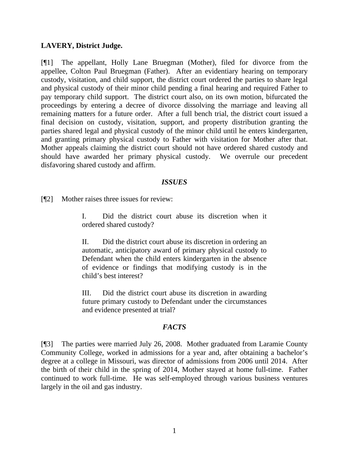#### **LAVERY, District Judge.**

[¶1] The appellant, Holly Lane Bruegman (Mother), filed for divorce from the appellee, Colton Paul Bruegman (Father). After an evidentiary hearing on temporary custody, visitation, and child support, the district court ordered the parties to share legal and physical custody of their minor child pending a final hearing and required Father to pay temporary child support. The district court also, on its own motion, bifurcated the proceedings by entering a decree of divorce dissolving the marriage and leaving all remaining matters for a future order. After a full bench trial, the district court issued a final decision on custody, visitation, support, and property distribution granting the parties shared legal and physical custody of the minor child until he enters kindergarten, and granting primary physical custody to Father with visitation for Mother after that. Mother appeals claiming the district court should not have ordered shared custody and should have awarded her primary physical custody. We overrule our precedent disfavoring shared custody and affirm.

#### *ISSUES*

[¶2] Mother raises three issues for review:

I. Did the district court abuse its discretion when it ordered shared custody?

II. Did the district court abuse its discretion in ordering an automatic, anticipatory award of primary physical custody to Defendant when the child enters kindergarten in the absence of evidence or findings that modifying custody is in the child's best interest?

III. Did the district court abuse its discretion in awarding future primary custody to Defendant under the circumstances and evidence presented at trial?

### *FACTS*

[¶3] The parties were married July 26, 2008. Mother graduated from Laramie County Community College, worked in admissions for a year and, after obtaining a bachelor's degree at a college in Missouri, was director of admissions from 2006 until 2014. After the birth of their child in the spring of 2014, Mother stayed at home full-time. Father continued to work full-time. He was self-employed through various business ventures largely in the oil and gas industry.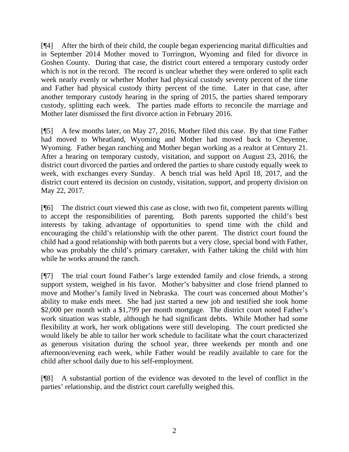[¶4] After the birth of their child, the couple began experiencing marital difficulties and in September 2014 Mother moved to Torrington, Wyoming and filed for divorce in Goshen County. During that case, the district court entered a temporary custody order which is not in the record. The record is unclear whether they were ordered to split each week nearly evenly or whether Mother had physical custody seventy percent of the time and Father had physical custody thirty percent of the time. Later in that case, after another temporary custody hearing in the spring of 2015, the parties shared temporary custody, splitting each week. The parties made efforts to reconcile the marriage and Mother later dismissed the first divorce action in February 2016.

[¶5] A few months later, on May 27, 2016, Mother filed this case. By that time Father had moved to Wheatland, Wyoming and Mother had moved back to Cheyenne, Wyoming. Father began ranching and Mother began working as a realtor at Century 21. After a hearing on temporary custody, visitation, and support on August 23, 2016, the district court divorced the parties and ordered the parties to share custody equally week to week, with exchanges every Sunday. A bench trial was held April 18, 2017, and the district court entered its decision on custody, visitation, support, and property division on May 22, 2017.

[¶6] The district court viewed this case as close, with two fit, competent parents willing to accept the responsibilities of parenting. Both parents supported the child's best interests by taking advantage of opportunities to spend time with the child and encouraging the child's relationship with the other parent. The district court found the child had a good relationship with both parents but a very close, special bond with Father, who was probably the child's primary caretaker, with Father taking the child with him while he works around the ranch.

[¶7] The trial court found Father's large extended family and close friends, a strong support system, weighed in his favor. Mother's babysitter and close friend planned to move and Mother's family lived in Nebraska. The court was concerned about Mother's ability to make ends meet. She had just started a new job and testified she took home \$2,000 per month with a \$1,799 per month mortgage. The district court noted Father's work situation was stable, although he had significant debts. While Mother had some flexibility at work, her work obligations were still developing. The court predicted she would likely be able to tailor her work schedule to facilitate what the court characterized as generous visitation during the school year, three weekends per month and one afternoon/evening each week, while Father would be readily available to care for the child after school daily due to his self-employment.

[¶8] A substantial portion of the evidence was devoted to the level of conflict in the parties' relationship, and the district court carefully weighed this.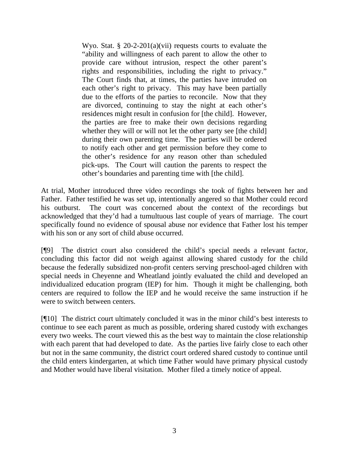Wyo. Stat.  $\S 20$ -2-201(a)(vii) requests courts to evaluate the "ability and willingness of each parent to allow the other to provide care without intrusion, respect the other parent's rights and responsibilities, including the right to privacy." The Court finds that, at times, the parties have intruded on each other's right to privacy. This may have been partially due to the efforts of the parties to reconcile. Now that they are divorced, continuing to stay the night at each other's residences might result in confusion for [the child]. However, the parties are free to make their own decisions regarding whether they will or will not let the other party see [the child] during their own parenting time. The parties will be ordered to notify each other and get permission before they come to the other's residence for any reason other than scheduled pick-ups. The Court will caution the parents to respect the other's boundaries and parenting time with [the child].

At trial, Mother introduced three video recordings she took of fights between her and Father. Father testified he was set up, intentionally angered so that Mother could record his outburst. The court was concerned about the context of the recordings but acknowledged that they'd had a tumultuous last couple of years of marriage. The court specifically found no evidence of spousal abuse nor evidence that Father lost his temper with his son or any sort of child abuse occurred.

[¶9] The district court also considered the child's special needs a relevant factor, concluding this factor did not weigh against allowing shared custody for the child because the federally subsidized non-profit centers serving preschool-aged children with special needs in Cheyenne and Wheatland jointly evaluated the child and developed an individualized education program (IEP) for him. Though it might be challenging, both centers are required to follow the IEP and he would receive the same instruction if he were to switch between centers.

[¶10] The district court ultimately concluded it was in the minor child's best interests to continue to see each parent as much as possible, ordering shared custody with exchanges every two weeks. The court viewed this as the best way to maintain the close relationship with each parent that had developed to date. As the parties live fairly close to each other but not in the same community, the district court ordered shared custody to continue until the child enters kindergarten, at which time Father would have primary physical custody and Mother would have liberal visitation. Mother filed a timely notice of appeal.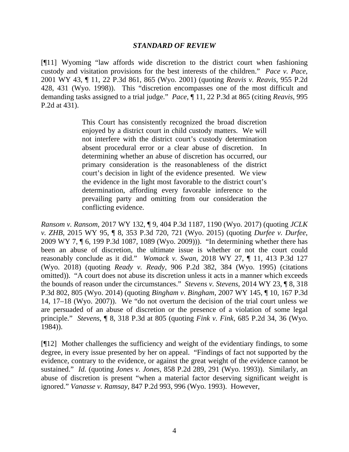#### *STANDARD OF REVIEW*

[¶11] Wyoming "law affords wide discretion to the district court when fashioning custody and visitation provisions for the best interests of the children." *Pace v. Pace*, 2001 WY 43, ¶ 11, 22 P.3d 861, 865 (Wyo. 2001) (quoting *Reavis v. Reavis*, 955 P.2d 428, 431 (Wyo. 1998)). This "discretion encompasses one of the most difficult and demanding tasks assigned to a trial judge." *Pace*, ¶ 11, 22 P.3d at 865 (citing *Reavis*, 995 P.2d at 431).

> This Court has consistently recognized the broad discretion enjoyed by a district court in child custody matters. We will not interfere with the district court's custody determination absent procedural error or a clear abuse of discretion. In determining whether an abuse of discretion has occurred, our primary consideration is the reasonableness of the district court's decision in light of the evidence presented. We view the evidence in the light most favorable to the district court's determination, affording every favorable inference to the prevailing party and omitting from our consideration the conflicting evidence.

*Ransom v. Ransom*, 2017 WY 132, ¶ 9, 404 P.3d 1187, 1190 (Wyo. 2017) (quoting *JCLK v. ZHB*, 2015 WY 95, ¶ 8, 353 P.3d 720, 721 (Wyo. 2015) (quoting *Durfee v. Durfee*, 2009 WY 7, ¶ 6, 199 P.3d 1087, 1089 (Wyo. 2009))). "In determining whether there has been an abuse of discretion, the ultimate issue is whether or not the court could reasonably conclude as it did." *Womack v. Swan*, 2018 WY 27, ¶ 11, 413 P.3d 127 (Wyo. 2018) (quoting *Ready v. Ready*, 906 P.2d 382, 384 (Wyo. 1995) (citations omitted)). "A court does not abuse its discretion unless it acts in a manner which exceeds the bounds of reason under the circumstances." *Stevens v. Stevens*, 2014 WY 23, ¶ 8, 318 P.3d 802, 805 (Wyo. 2014) (quoting *Bingham v. Bingham*, 2007 WY 145, ¶ 10, 167 P.3d 14, 17–18 (Wyo. 2007)). We "do not overturn the decision of the trial court unless we are persuaded of an abuse of discretion or the presence of a violation of some legal principle." *Stevens*, ¶ 8, 318 P.3d at 805 (quoting *Fink v. Fink*, 685 P.2d 34, 36 (Wyo. 1984)).

[¶12] Mother challenges the sufficiency and weight of the evidentiary findings, to some degree, in every issue presented by her on appeal. "Findings of fact not supported by the evidence, contrary to the evidence, or against the great weight of the evidence cannot be sustained." *Id.* (quoting *Jones v. Jones*, 858 P.2d 289, 291 (Wyo. 1993)). Similarly, an abuse of discretion is present "when a material factor deserving significant weight is ignored." *Vanasse v. Ramsay*, 847 P.2d 993, 996 (Wyo. 1993). However,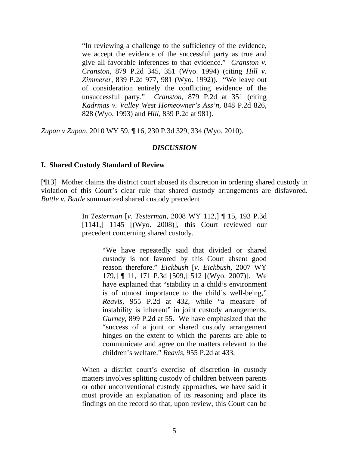"In reviewing a challenge to the sufficiency of the evidence, we accept the evidence of the successful party as true and give all favorable inferences to that evidence." *Cranston v. Cranston*, 879 P.2d 345, 351 (Wyo. 1994) (citing *Hill v. Zimmerer*, 839 P.2d 977, 981 (Wyo. 1992)). "We leave out of consideration entirely the conflicting evidence of the unsuccessful party." *Cranston*, 879 P.2d at 351 (citing *Kadrmas v. Valley West Homeowner's Ass'n*, 848 P.2d 826, 828 (Wyo. 1993) and *Hill*, 839 P.2d at 981).

*Zupan v Zupan*, 2010 WY 59, ¶ 16, 230 P.3d 329, 334 (Wyo. 2010).

#### *DISCUSSION*

#### **I. Shared Custody Standard of Review**

[¶13] Mother claims the district court abused its discretion in ordering shared custody in violation of this Court's clear rule that shared custody arrangements are disfavored. *Buttle v. Buttle* summarized shared custody precedent.

> In *Testerman* [*v. Testerman*, 2008 WY 112,] ¶ 15, 193 P.3d [1141,] 1145 [(Wyo. 2008)], this Court reviewed our precedent concerning shared custody.

> > "We have repeatedly said that divided or shared custody is not favored by this Court absent good reason therefore." *Eickbush* [*v. Eickbush*, 2007 WY 179,] ¶ 11, 171 P.3d [509,] 512 [(Wyo. 2007)]. We have explained that "stability in a child's environment is of utmost importance to the child's well-being," *Reavis*, 955 P.2d at 432, while "a measure of instability is inherent" in joint custody arrangements. *Gurney*, 899 P.2d at 55. We have emphasized that the "success of a joint or shared custody arrangement hinges on the extent to which the parents are able to communicate and agree on the matters relevant to the children's welfare." *Reavis*, 955 P.2d at 433.

When a district court's exercise of discretion in custody matters involves splitting custody of children between parents or other unconventional custody approaches, we have said it must provide an explanation of its reasoning and place its findings on the record so that, upon review, this Court can be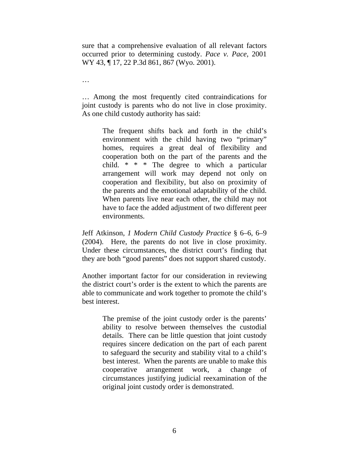sure that a comprehensive evaluation of all relevant factors occurred prior to determining custody. *Pace v. Pace*, 2001 WY 43, ¶ 17, 22 P.3d 861, 867 (Wyo. 2001).

… Among the most frequently cited contraindications for joint custody is parents who do not live in close proximity. As one child custody authority has said:

…

The frequent shifts back and forth in the child's environment with the child having two "primary" homes, requires a great deal of flexibility and cooperation both on the part of the parents and the child. \* \* \* The degree to which a particular arrangement will work may depend not only on cooperation and flexibility, but also on proximity of the parents and the emotional adaptability of the child. When parents live near each other, the child may not have to face the added adjustment of two different peer environments.

Jeff Atkinson, *1 Modern Child Custody Practice* § 6–6, 6–9 (2004). Here, the parents do not live in close proximity. Under these circumstances, the district court's finding that they are both "good parents" does not support shared custody.

Another important factor for our consideration in reviewing the district court's order is the extent to which the parents are able to communicate and work together to promote the child's best interest.

> The premise of the joint custody order is the parents' ability to resolve between themselves the custodial details. There can be little question that joint custody requires sincere dedication on the part of each parent to safeguard the security and stability vital to a child's best interest. When the parents are unable to make this cooperative arrangement work, a change of circumstances justifying judicial reexamination of the original joint custody order is demonstrated.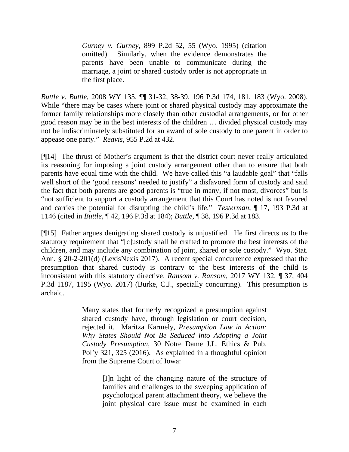*Gurney v. Gurney*, 899 P.2d 52, 55 (Wyo. 1995) (citation omitted). Similarly, when the evidence demonstrates the parents have been unable to communicate during the marriage, a joint or shared custody order is not appropriate in the first place.

*Buttle v. Buttle*, 2008 WY 135, ¶¶ 31-32, 38-39, 196 P.3d 174, 181, 183 (Wyo. 2008). While "there may be cases where joint or shared physical custody may approximate the former family relationships more closely than other custodial arrangements, or for other good reason may be in the best interests of the children … divided physical custody may not be indiscriminately substituted for an award of sole custody to one parent in order to appease one party." *Reavis*, 955 P.2d at 432.

[¶14] The thrust of Mother's argument is that the district court never really articulated its reasoning for imposing a joint custody arrangement other than to ensure that both parents have equal time with the child. We have called this "a laudable goal" that "falls well short of the 'good reasons' needed to justify" a disfavored form of custody and said the fact that both parents are good parents is "true in many, if not most, divorces" but is "not sufficient to support a custody arrangement that this Court has noted is not favored and carries the potential for disrupting the child's life." *Testerman*, ¶ 17, 193 P.3d at 1146 (cited in *Buttle*, ¶ 42, 196 P.3d at 184); *Buttle*, ¶ 38, 196 P.3d at 183.

[¶15] Father argues denigrating shared custody is unjustified. He first directs us to the statutory requirement that "[c]ustody shall be crafted to promote the best interests of the children, and may include any combination of joint, shared or sole custody." Wyo. Stat. Ann. § 20-2-201(d) (LexisNexis 2017). A recent special concurrence expressed that the presumption that shared custody is contrary to the best interests of the child is inconsistent with this statutory directive. *Ransom v. Ransom*, 2017 WY 132, ¶ 37, 404 P.3d 1187, 1195 (Wyo. 2017) (Burke, C.J., specially concurring). This presumption is archaic.

> Many states that formerly recognized a presumption against shared custody have, through legislation or court decision, rejected it. Maritza Karmely, *Presumption Law in Action: Why States Should Not Be Seduced into Adopting a Joint Custody Presumption*, 30 Notre Dame J.L. Ethics & Pub. Pol'y 321, 325 (2016). As explained in a thoughtful opinion from the Supreme Court of Iowa:

> > [I]n light of the changing nature of the structure of families and challenges to the sweeping application of psychological parent attachment theory, we believe the joint physical care issue must be examined in each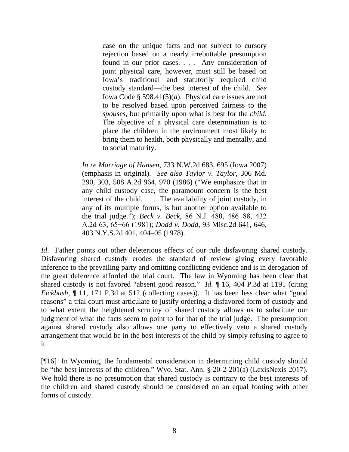case on the unique facts and not subject to cursory rejection based on a nearly irrebuttable presumption found in our prior cases. . . . Any consideration of joint physical care, however, must still be based on Iowa's traditional and statutorily required child custody standard—the best interest of the child. *See* Iowa Code § 598.41(5)(*a*). Physical care issues are not to be resolved based upon perceived fairness to the *spouses*, but primarily upon what is best for the *child*. The objective of a physical care determination is to place the children in the environment most likely to bring them to health, both physically and mentally, and to social maturity.

*In re Marriage of Hansen*, 733 N.W.2d 683, 695 (Iowa 2007) (emphasis in original). *See also Taylor v. Taylor*, 306 Md. 290, 303, 508 A.2d 964, 970 (1986) ("We emphasize that in any child custody case, the paramount concern is the best interest of the child. . . . The availability of joint custody, in any of its multiple forms, is but another option available to the trial judge."); *Beck v. Beck*, 86 N.J. 480, 486−88, 432 A.2d 63, 65−66 (1981); *Dodd v. Dodd*, 93 Misc.2d 641, 646, 403 N.Y.S.2d 401, 404–05 (1978).

*Id.* Father points out other deleterious effects of our rule disfavoring shared custody. Disfavoring shared custody erodes the standard of review giving every favorable inference to the prevailing party and omitting conflicting evidence and is in derogation of the great deference afforded the trial court. The law in Wyoming has been clear that shared custody is not favored "absent good reason." *Id.* ¶ 16, 404 P.3d at 1191 (citing *Eickbush*, 11, 171 P.3d at 512 (collecting cases)). It has been less clear what "good reasons" a trial court must articulate to justify ordering a disfavored form of custody and to what extent the heightened scrutiny of shared custody allows us to substitute our judgment of what the facts seem to point to for that of the trial judge. The presumption against shared custody also allows one party to effectively veto a shared custody arrangement that would be in the best interests of the child by simply refusing to agree to it.

[¶16] In Wyoming, the fundamental consideration in determining child custody should be "the best interests of the children." Wyo. Stat. Ann. § 20-2-201(a) (LexisNexis 2017). We hold there is no presumption that shared custody is contrary to the best interests of the children and shared custody should be considered on an equal footing with other forms of custody.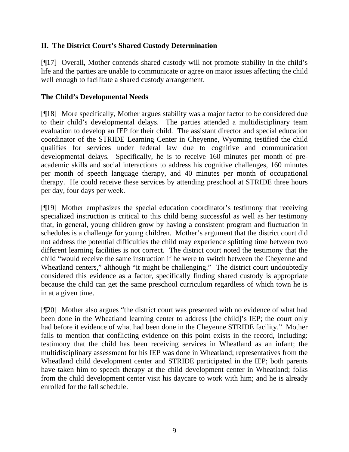## **II. The District Court's Shared Custody Determination**

[¶17] Overall, Mother contends shared custody will not promote stability in the child's life and the parties are unable to communicate or agree on major issues affecting the child well enough to facilitate a shared custody arrangement.

### **The Child's Developmental Needs**

[¶18] More specifically, Mother argues stability was a major factor to be considered due to their child's developmental delays. The parties attended a multidisciplinary team evaluation to develop an IEP for their child. The assistant director and special education coordinator of the STRIDE Learning Center in Cheyenne, Wyoming testified the child qualifies for services under federal law due to cognitive and communication developmental delays. Specifically, he is to receive 160 minutes per month of preacademic skills and social interactions to address his cognitive challenges, 160 minutes per month of speech language therapy, and 40 minutes per month of occupational therapy. He could receive these services by attending preschool at STRIDE three hours per day, four days per week.

[¶19] Mother emphasizes the special education coordinator's testimony that receiving specialized instruction is critical to this child being successful as well as her testimony that, in general, young children grow by having a consistent program and fluctuation in schedules is a challenge for young children. Mother's argument that the district court did not address the potential difficulties the child may experience splitting time between two different learning facilities is not correct. The district court noted the testimony that the child "would receive the same instruction if he were to switch between the Cheyenne and Wheatland centers," although "it might be challenging." The district court undoubtedly considered this evidence as a factor, specifically finding shared custody is appropriate because the child can get the same preschool curriculum regardless of which town he is in at a given time.

[¶20] Mother also argues "the district court was presented with no evidence of what had been done in the Wheatland learning center to address [the child]'s IEP; the court only had before it evidence of what had been done in the Cheyenne STRIDE facility." Mother fails to mention that conflicting evidence on this point exists in the record, including: testimony that the child has been receiving services in Wheatland as an infant; the multidisciplinary assessment for his IEP was done in Wheatland; representatives from the Wheatland child development center and STRIDE participated in the IEP; both parents have taken him to speech therapy at the child development center in Wheatland; folks from the child development center visit his daycare to work with him; and he is already enrolled for the fall schedule.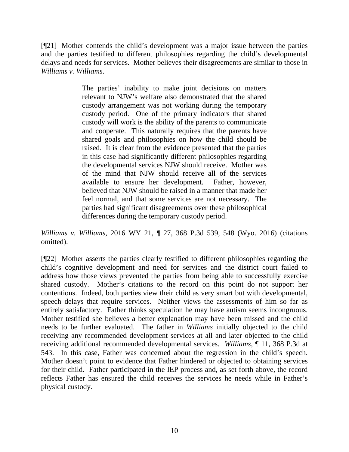[¶21] Mother contends the child's development was a major issue between the parties and the parties testified to different philosophies regarding the child's developmental delays and needs for services. Mother believes their disagreements are similar to those in *Williams v. Williams*.

> The parties' inability to make joint decisions on matters relevant to NJW's welfare also demonstrated that the shared custody arrangement was not working during the temporary custody period. One of the primary indicators that shared custody will work is the ability of the parents to communicate and cooperate. This naturally requires that the parents have shared goals and philosophies on how the child should be raised. It is clear from the evidence presented that the parties in this case had significantly different philosophies regarding the developmental services NJW should receive. Mother was of the mind that NJW should receive all of the services available to ensure her development. Father, however, believed that NJW should be raised in a manner that made her feel normal, and that some services are not necessary. The parties had significant disagreements over these philosophical differences during the temporary custody period.

*Williams v. Williams*, 2016 WY 21, ¶ 27, 368 P.3d 539, 548 (Wyo. 2016) (citations omitted).

[¶22] Mother asserts the parties clearly testified to different philosophies regarding the child's cognitive development and need for services and the district court failed to address how those views prevented the parties from being able to successfully exercise shared custody. Mother's citations to the record on this point do not support her contentions. Indeed, both parties view their child as very smart but with developmental, speech delays that require services. Neither views the assessments of him so far as entirely satisfactory. Father thinks speculation he may have autism seems incongruous. Mother testified she believes a better explanation may have been missed and the child needs to be further evaluated. The father in *Williams* initially objected to the child receiving any recommended development services at all and later objected to the child receiving additional recommended developmental services. *Williams*, ¶ 11, 368 P.3d at 543. In this case, Father was concerned about the regression in the child's speech. Mother doesn't point to evidence that Father hindered or objected to obtaining services for their child. Father participated in the IEP process and, as set forth above, the record reflects Father has ensured the child receives the services he needs while in Father's physical custody.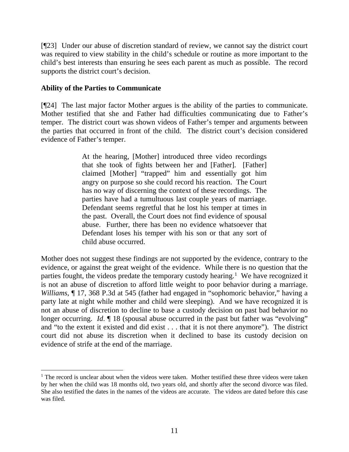[¶23] Under our abuse of discretion standard of review, we cannot say the district court was required to view stability in the child's schedule or routine as more important to the child's best interests than ensuring he sees each parent as much as possible. The record supports the district court's decision.

### **Ability of the Parties to Communicate**

[¶24] The last major factor Mother argues is the ability of the parties to communicate. Mother testified that she and Father had difficulties communicating due to Father's temper. The district court was shown videos of Father's temper and arguments between the parties that occurred in front of the child. The district court's decision considered evidence of Father's temper.

> At the hearing, [Mother] introduced three video recordings that she took of fights between her and [Father]. [Father] claimed [Mother] "trapped" him and essentially got him angry on purpose so she could record his reaction. The Court has no way of discerning the context of these recordings. The parties have had a tumultuous last couple years of marriage. Defendant seems regretful that he lost his temper at times in the past. Overall, the Court does not find evidence of spousal abuse. Further, there has been no evidence whatsoever that Defendant loses his temper with his son or that any sort of child abuse occurred.

Mother does not suggest these findings are not supported by the evidence, contrary to the evidence, or against the great weight of the evidence. While there is no question that the parties fought, the videos predate the temporary custody hearing.<sup>[1](#page-11-0)</sup> We have recognized it is not an abuse of discretion to afford little weight to poor behavior during a marriage. *Williams*, ¶ 17, 368 P.3d at 545 (father had engaged in "sophomoric behavior," having a party late at night while mother and child were sleeping). And we have recognized it is not an abuse of discretion to decline to base a custody decision on past bad behavior no longer occurring. *Id*.  $\llbracket$  18 (spousal abuse occurred in the past but father was "evolving" and "to the extent it existed and did exist . . . that it is not there anymore"). The district court did not abuse its discretion when it declined to base its custody decision on evidence of strife at the end of the marriage.

<span id="page-11-0"></span> $1$  The record is unclear about when the videos were taken. Mother testified these three videos were taken by her when the child was 18 months old, two years old, and shortly after the second divorce was filed. She also testified the dates in the names of the videos are accurate. The videos are dated before this case was filed.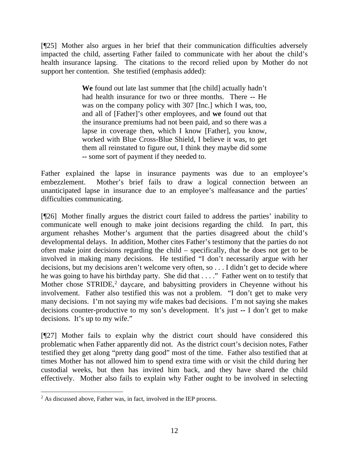[¶25] Mother also argues in her brief that their communication difficulties adversely impacted the child, asserting Father failed to communicate with her about the child's health insurance lapsing. The citations to the record relied upon by Mother do not support her contention. She testified (emphasis added):

> **We** found out late last summer that [the child] actually hadn't had health insurance for two or three months. There **--** He was on the company policy with 307 [Inc.] which I was, too, and all of [Father]'s other employees, and **we** found out that the insurance premiums had not been paid, and so there was a lapse in coverage then, which I know [Father], you know, worked with Blue Cross-Blue Shield, I believe it was, to get them all reinstated to figure out, I think they maybe did some **--** some sort of payment if they needed to.

Father explained the lapse in insurance payments was due to an employee's embezzlement. Mother's brief fails to draw a logical connection between an unanticipated lapse in insurance due to an employee's malfeasance and the parties' difficulties communicating.

[¶26] Mother finally argues the district court failed to address the parties' inability to communicate well enough to make joint decisions regarding the child. In part, this argument rehashes Mother's argument that the parties disagreed about the child's developmental delays. In addition, Mother cites Father's testimony that the parties do not often make joint decisions regarding the child – specifically, that he does not get to be involved in making many decisions. He testified "I don't necessarily argue with her decisions, but my decisions aren't welcome very often, so . . . I didn't get to decide where he was going to have his birthday party. She did that . . . ." Father went on to testify that Mother chose STRIDE,<sup>[2](#page-12-0)</sup> daycare, and babysitting providers in Cheyenne without his involvement. Father also testified this was not a problem. "I don't get to make very many decisions. I'm not saying my wife makes bad decisions. I'm not saying she makes decisions counter-productive to my son's development. It's just **--** I don't get to make decisions. It's up to my wife."

[¶27] Mother fails to explain why the district court should have considered this problematic when Father apparently did not. As the district court's decision notes, Father testified they get along "pretty dang good" most of the time. Father also testified that at times Mother has not allowed him to spend extra time with or visit the child during her custodial weeks, but then has invited him back, and they have shared the child effectively. Mother also fails to explain why Father ought to be involved in selecting

<span id="page-12-0"></span> $2$  As discussed above, Father was, in fact, involved in the IEP process.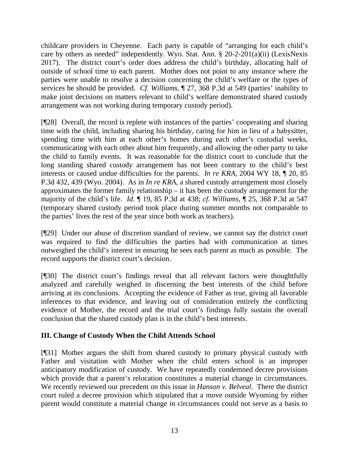childcare providers in Cheyenne. Each party is capable of "arranging for each child's care by others as needed" independently. Wyo. Stat. Ann. § 20-2-201(a)(ii) (LexisNexis 2017). The district court's order does address the child's birthday, allocating half of outside of school time to each parent. Mother does not point to any instance where the parties were unable to resolve a decision concerning the child's welfare or the types of services he should be provided. *Cf. Williams*, ¶ 27, 368 P.3d at 549 (parties' inability to make joint decisions on matters relevant to child's welfare demonstrated shared custody arrangement was not working during temporary custody period).

[¶28] Overall, the record is replete with instances of the parties' cooperating and sharing time with the child, including sharing his birthday, caring for him in lieu of a babysitter, spending time with him at each other's homes during each other's custodial weeks, communicating with each other about him frequently, and allowing the other party to take the child to family events. It was reasonable for the district court to conclude that the long standing shared custody arrangement has not been contrary to the child's best interests or caused undue difficulties for the parents. *In re KRA*, 2004 WY 18, ¶ 20, 85 P.3d 432, 439 (Wyo. 2004). As in *In re KRA*, a shared custody arrangement most closely approximates the former family relationship – it has been the custody arrangement for the majority of the child's life. *Id*. ¶ 19, 85 P.3d at 438; *cf. Williams*, ¶ 25, 368 P.3d at 547 (temporary shared custody period took place during summer months not comparable to the parties' lives the rest of the year since both work as teachers).

[¶29] Under our abuse of discretion standard of review, we cannot say the district court was required to find the difficulties the parties had with communication at times outweighed the child's interest in ensuring he sees each parent as much as possible. The record supports the district court's decision.

[¶30] The district court's findings reveal that all relevant factors were thoughtfully analyzed and carefully weighed in discerning the best interests of the child before arriving at its conclusions. Accepting the evidence of Father as true, giving all favorable inferences to that evidence, and leaving out of consideration entirely the conflicting evidence of Mother, the record and the trial court's findings fully sustain the overall conclusion that the shared custody plan is in the child's best interests.

# **III. Change of Custody When the Child Attends School**

[¶31] Mother argues the shift from shared custody to primary physical custody with Father and visitation with Mother when the child enters school is an improper anticipatory modification of custody. We have repeatedly condemned decree provisions which provide that a parent's relocation constitutes a material change in circumstances. We recently reviewed our precedent on this issue in *Hanson v. Belveal*. There the district court ruled a decree provision which stipulated that a move outside Wyoming by either parent would constitute a material change in circumstances could not serve as a basis to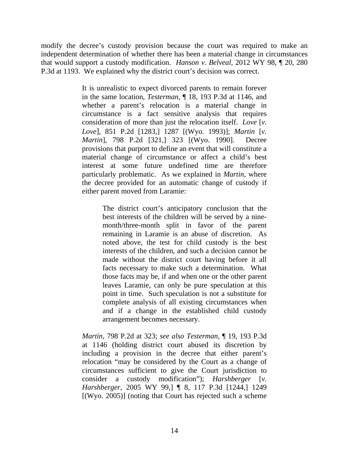modify the decree's custody provision because the court was required to make an independent determination of whether there has been a material change in circumstances that would support a custody modification. *Hanson v. Belveal*, 2012 WY 98, ¶ 20, 280 P.3d at 1193. We explained why the district court's decision was correct.

> It is unrealistic to expect divorced parents to remain forever in the same location, *Testerman*, ¶ 18, 193 P.3d at 1146, and whether a parent's relocation is a material change in circumstance is a fact sensitive analysis that requires consideration of more than just the relocation itself. *Love* [*v. Love*], 851 P.2d [1283,] 1287 [(Wyo. 1993)]; *Martin* [*v. Martin*], 798 P.2d [321,] 323 [(Wyo. 1990]. Decree provisions that purport to define an event that will constitute a material change of circumstance or affect a child's best interest at some future undefined time are therefore particularly problematic. As we explained in *Martin*, where the decree provided for an automatic change of custody if either parent moved from Laramie:

> > The district court's anticipatory conclusion that the best interests of the children will be served by a ninemonth/three-month split in favor of the parent remaining in Laramie is an abuse of discretion. As noted above, the test for child custody is the best interests of the children, and such a decision cannot be made without the district court having before it all facts necessary to make such a determination. What those facts may be, if and when one or the other parent leaves Laramie, can only be pure speculation at this point in time. Such speculation is not a substitute for complete analysis of all existing circumstances when and if a change in the established child custody arrangement becomes necessary.

*Martin*, 798 P.2d at 323; *see also Testerman*, ¶ 19, 193 P.3d at 1146 (holding district court abused its discretion by including a provision in the decree that either parent's relocation "may be considered by the Court as a change of circumstances sufficient to give the Court jurisdiction to consider a custody modification"); *Harshberger* [*v. Harshberger*, 2005 WY 99,] ¶ 8, 117 P.3d [1244,] 1249 [(Wyo. 2005)] (noting that Court has rejected such a scheme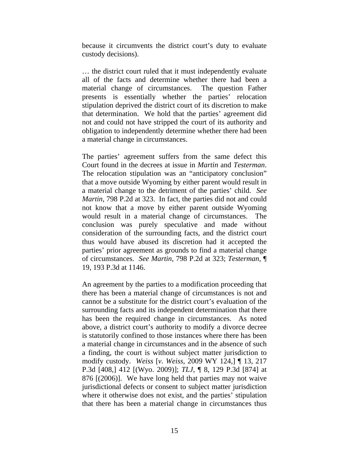because it circumvents the district court's duty to evaluate custody decisions).

… the district court ruled that it must independently evaluate all of the facts and determine whether there had been a material change of circumstances. The question Father presents is essentially whether the parties' relocation stipulation deprived the district court of its discretion to make that determination. We hold that the parties' agreement did not and could not have stripped the court of its authority and obligation to independently determine whether there had been a material change in circumstances.

The parties' agreement suffers from the same defect this Court found in the decrees at issue in *Martin* and *Testerman*. The relocation stipulation was an "anticipatory conclusion" that a move outside Wyoming by either parent would result in a material change to the detriment of the parties' child. *See Martin*, 798 P.2d at 323. In fact, the parties did not and could not know that a move by either parent outside Wyoming would result in a material change of circumstances. The conclusion was purely speculative and made without consideration of the surrounding facts, and the district court thus would have abused its discretion had it accepted the parties' prior agreement as grounds to find a material change of circumstances. *See Martin*, 798 P.2d at 323; *Testerman*, ¶ 19, 193 P.3d at 1146.

An agreement by the parties to a modification proceeding that there has been a material change of circumstances is not and cannot be a substitute for the district court's evaluation of the surrounding facts and its independent determination that there has been the required change in circumstances. As noted above, a district court's authority to modify a divorce decree is statutorily confined to those instances where there has been a material change in circumstances and in the absence of such a finding, the court is without subject matter jurisdiction to modify custody. *Weiss* [*v. Weiss*, 2009 WY 124,] ¶ 13, 217 P.3d [408,] 412 [(Wyo. 2009)]; *TLJ*, ¶ 8, 129 P.3d [874] at 876 [(2006)]. We have long held that parties may not waive jurisdictional defects or consent to subject matter jurisdiction where it otherwise does not exist, and the parties' stipulation that there has been a material change in circumstances thus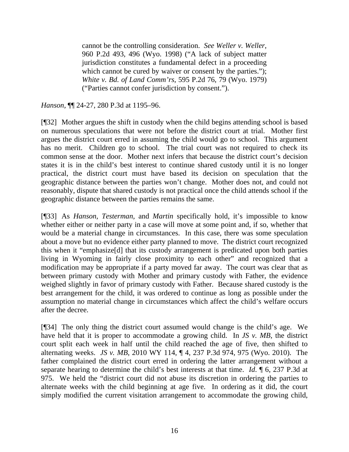cannot be the controlling consideration. *See Weller v. Weller*, 960 P.2d 493, 496 (Wyo. 1998) ("A lack of subject matter jurisdiction constitutes a fundamental defect in a proceeding which cannot be cured by waiver or consent by the parties."); *White v. Bd. of Land Comm'rs*, 595 P.2d 76, 79 (Wyo. 1979) ("Parties cannot confer jurisdiction by consent.").

*Hanson,* ¶¶ 24-27, 280 P.3d at 1195–96.

[¶32] Mother argues the shift in custody when the child begins attending school is based on numerous speculations that were not before the district court at trial. Mother first argues the district court erred in assuming the child would go to school. This argument has no merit. Children go to school. The trial court was not required to check its common sense at the door. Mother next infers that because the district court's decision states it is in the child's best interest to continue shared custody until it is no longer practical, the district court must have based its decision on speculation that the geographic distance between the parties won't change. Mother does not, and could not reasonably, dispute that shared custody is not practical once the child attends school if the geographic distance between the parties remains the same.

[¶33] As *Hanson*, *Testerman*, and *Martin* specifically hold, it's impossible to know whether either or neither party in a case will move at some point and, if so, whether that would be a material change in circumstances. In this case, there was some speculation about a move but no evidence either party planned to move. The district court recognized this when it "emphasize[d] that its custody arrangement is predicated upon both parties living in Wyoming in fairly close proximity to each other" and recognized that a modification may be appropriate if a party moved far away. The court was clear that as between primary custody with Mother and primary custody with Father, the evidence weighed slightly in favor of primary custody with Father. Because shared custody is the best arrangement for the child, it was ordered to continue as long as possible under the assumption no material change in circumstances which affect the child's welfare occurs after the decree.

[¶34] The only thing the district court assumed would change is the child's age. We have held that it is proper to accommodate a growing child. In *JS v. MB*, the district court split each week in half until the child reached the age of five, then shifted to alternating weeks. *JS v. MB*, 2010 WY 114, ¶ 4, 237 P.3d 974, 975 (Wyo. 2010). The father complained the district court erred in ordering the latter arrangement without a separate hearing to determine the child's best interests at that time. *Id*. ¶ 6, 237 P.3d at 975. We held the "district court did not abuse its discretion in ordering the parties to alternate weeks with the child beginning at age five. In ordering as it did, the court simply modified the current visitation arrangement to accommodate the growing child,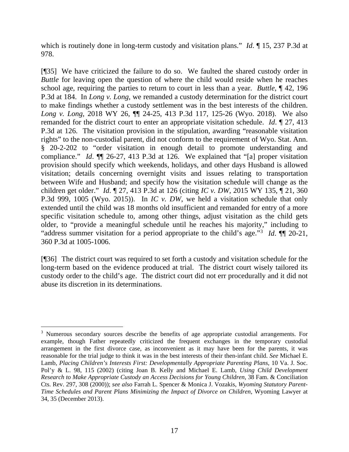which is routinely done in long-term custody and visitation plans." *Id*. ¶ 15, 237 P.3d at 978.

[¶35] We have criticized the failure to do so. We faulted the shared custody order in *Buttle* for leaving open the question of where the child would reside when he reaches school age, requiring the parties to return to court in less than a year. *Buttle*, ¶ 42, 196 P.3d at 184. In *Long v. Long*, we remanded a custody determination for the district court to make findings whether a custody settlement was in the best interests of the children. *Long v. Long*, 2018 WY 26, ¶¶ 24-25, 413 P.3d 117, 125-26 (Wyo. 2018). We also remanded for the district court to enter an appropriate visitation schedule. *Id*. ¶ 27, 413 P.3d at 126. The visitation provision in the stipulation, awarding "reasonable visitation rights" to the non-custodial parent, did not conform to the requirement of Wyo. Stat. Ann. § 20-2-202 to "order visitation in enough detail to promote understanding and compliance." *Id*. ¶¶ 26-27, 413 P.3d at 126. We explained that "[a] proper visitation provision should specify which weekends, holidays, and other days Husband is allowed visitation; details concerning overnight visits and issues relating to transportation between Wife and Husband; and specify how the visitation schedule will change as the children get older." *Id*. ¶ 27, 413 P.3d at 126 (citing *IC v. DW*, 2015 WY 135, ¶ 21, 360 P.3d 999, 1005 (Wyo. 2015)). In *IC v. DW*, we held a visitation schedule that only extended until the child was 18 months old insufficient and remanded for entry of a more specific visitation schedule to, among other things, adjust visitation as the child gets older, to "provide a meaningful schedule until he reaches his majority," including to "address summer visitation for a period appropriate to the child's age."[3](#page-17-0) *Id*. ¶¶ 20-21, 360 P.3d at 1005-1006.

[¶36] The district court was required to set forth a custody and visitation schedule for the long-term based on the evidence produced at trial. The district court wisely tailored its custody order to the child's age. The district court did not err procedurally and it did not abuse its discretion in its determinations.

<span id="page-17-0"></span><sup>&</sup>lt;sup>3</sup> Numerous secondary sources describe the benefits of age appropriate custodial arrangements. For example, though Father repeatedly criticized the frequent exchanges in the temporary custodial arrangement in the first divorce case, as inconvenient as it may have been for the parents, it was reasonable for the trial judge to think it was in the best interests of their then-infant child. *See* Michael E. Lamb, *Placing Children's Interests First: Developmentally Appropriate Parenting Plans*, 10 Va. J. Soc. Pol'y & L. 98, 115 (2002) (citing Joan B. Kelly and Michael E. Lamb, *Using Child Development Research to Make Appropriate Custody an Access Decisions for Young Children*, 38 Fam. & Conciliation Cts. Rev. 297, 308 (2000)); *see also* Farrah L. Spencer & Monica J. Vozakis, *Wyoming Statutory Parent-Time Schedules and Parent Plans Minimizing the Impact of Divorce on Children*, Wyoming Lawyer at 34, 35 (December 2013).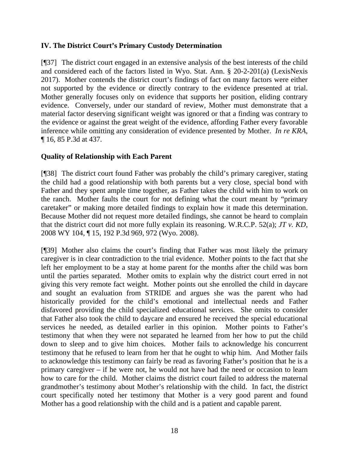### **IV. The District Court's Primary Custody Determination**

[¶37] The district court engaged in an extensive analysis of the best interests of the child and considered each of the factors listed in Wyo. Stat. Ann. § 20-2-201(a) (LexisNexis 2017). Mother contends the district court's findings of fact on many factors were either not supported by the evidence or directly contrary to the evidence presented at trial. Mother generally focuses only on evidence that supports her position, eliding contrary evidence. Conversely, under our standard of review, Mother must demonstrate that a material factor deserving significant weight was ignored or that a finding was contrary to the evidence or against the great weight of the evidence, affording Father every favorable inference while omitting any consideration of evidence presented by Mother. *In re KRA*, ¶ 16, 85 P.3d at 437.

## **Quality of Relationship with Each Parent**

[¶38] The district court found Father was probably the child's primary caregiver, stating the child had a good relationship with both parents but a very close, special bond with Father and they spent ample time together, as Father takes the child with him to work on the ranch. Mother faults the court for not defining what the court meant by "primary caretaker" or making more detailed findings to explain how it made this determination. Because Mother did not request more detailed findings, she cannot be heard to complain that the district court did not more fully explain its reasoning. W.R.C.P. 52(a); *JT v. KD*, 2008 WY 104, ¶ 15, 192 P.3d 969, 972 (Wyo. 2008).

[¶39] Mother also claims the court's finding that Father was most likely the primary caregiver is in clear contradiction to the trial evidence. Mother points to the fact that she left her employment to be a stay at home parent for the months after the child was born until the parties separated. Mother omits to explain why the district court erred in not giving this very remote fact weight. Mother points out she enrolled the child in daycare and sought an evaluation from STRIDE and argues she was the parent who had historically provided for the child's emotional and intellectual needs and Father disfavored providing the child specialized educational services. She omits to consider that Father also took the child to daycare and ensured he received the special educational services he needed, as detailed earlier in this opinion. Mother points to Father's testimony that when they were not separated he learned from her how to put the child down to sleep and to give him choices. Mother fails to acknowledge his concurrent testimony that he refused to learn from her that he ought to whip him. And Mother fails to acknowledge this testimony can fairly be read as favoring Father's position that he is a primary caregiver – if he were not, he would not have had the need or occasion to learn how to care for the child. Mother claims the district court failed to address the maternal grandmother's testimony about Mother's relationship with the child. In fact, the district court specifically noted her testimony that Mother is a very good parent and found Mother has a good relationship with the child and is a patient and capable parent.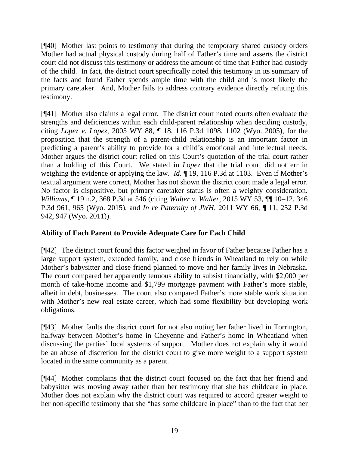[¶40] Mother last points to testimony that during the temporary shared custody orders Mother had actual physical custody during half of Father's time and asserts the district court did not discuss this testimony or address the amount of time that Father had custody of the child. In fact, the district court specifically noted this testimony in its summary of the facts and found Father spends ample time with the child and is most likely the primary caretaker. And, Mother fails to address contrary evidence directly refuting this testimony.

[¶41] Mother also claims a legal error. The district court noted courts often evaluate the strengths and deficiencies within each child-parent relationship when deciding custody, citing *Lopez v. Lopez*, 2005 WY 88, ¶ 18, 116 P.3d 1098, 1102 (Wyo. 2005), for the proposition that the strength of a parent-child relationship is an important factor in predicting a parent's ability to provide for a child's emotional and intellectual needs. Mother argues the district court relied on this Court's quotation of the trial court rather than a holding of this Court. We stated in *Lopez* that the trial court did not err in weighing the evidence or applying the law. *Id*. ¶ 19, 116 P.3d at 1103. Even if Mother's textual argument were correct, Mother has not shown the district court made a legal error. No factor is dispositive, but primary caretaker status is often a weighty consideration. *Williams*, ¶ 19 n.2, 368 P.3d at 546 (citing *Walter v. Walter*, 2015 WY 53, ¶¶ 10–12, 346 P.3d 961, 965 (Wyo. 2015), and *In re Paternity of JWH*, 2011 WY 66, ¶ 11, 252 P.3d 942, 947 (Wyo. 2011)).

# **Ability of Each Parent to Provide Adequate Care for Each Child**

[¶42] The district court found this factor weighed in favor of Father because Father has a large support system, extended family, and close friends in Wheatland to rely on while Mother's babysitter and close friend planned to move and her family lives in Nebraska. The court compared her apparently tenuous ability to subsist financially, with \$2,000 per month of take-home income and \$1,799 mortgage payment with Father's more stable, albeit in debt, businesses. The court also compared Father's more stable work situation with Mother's new real estate career, which had some flexibility but developing work obligations.

[¶43] Mother faults the district court for not also noting her father lived in Torrington, halfway between Mother's home in Cheyenne and Father's home in Wheatland when discussing the parties' local systems of support. Mother does not explain why it would be an abuse of discretion for the district court to give more weight to a support system located in the same community as a parent.

[¶44] Mother complains that the district court focused on the fact that her friend and babysitter was moving away rather than her testimony that she has childcare in place. Mother does not explain why the district court was required to accord greater weight to her non-specific testimony that she "has some childcare in place" than to the fact that her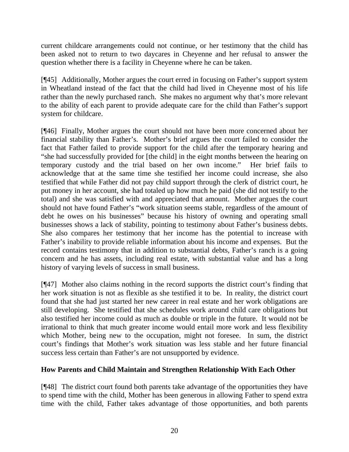current childcare arrangements could not continue, or her testimony that the child has been asked not to return to two daycares in Cheyenne and her refusal to answer the question whether there is a facility in Cheyenne where he can be taken.

[¶45] Additionally, Mother argues the court erred in focusing on Father's support system in Wheatland instead of the fact that the child had lived in Cheyenne most of his life rather than the newly purchased ranch. She makes no argument why that's more relevant to the ability of each parent to provide adequate care for the child than Father's support system for childcare.

[¶46] Finally, Mother argues the court should not have been more concerned about her financial stability than Father's. Mother's brief argues the court failed to consider the fact that Father failed to provide support for the child after the temporary hearing and "she had successfully provided for [the child] in the eight months between the hearing on temporary custody and the trial based on her own income." Her brief fails to acknowledge that at the same time she testified her income could increase, she also testified that while Father did not pay child support through the clerk of district court, he put money in her account, she had totaled up how much he paid (she did not testify to the total) and she was satisfied with and appreciated that amount. Mother argues the court should not have found Father's "work situation seems stable, regardless of the amount of debt he owes on his businesses" because his history of owning and operating small businesses shows a lack of stability, pointing to testimony about Father's business debts. She also compares her testimony that her income has the potential to increase with Father's inability to provide reliable information about his income and expenses. But the record contains testimony that in addition to substantial debts, Father's ranch is a going concern and he has assets, including real estate, with substantial value and has a long history of varying levels of success in small business.

[¶47] Mother also claims nothing in the record supports the district court's finding that her work situation is not as flexible as she testified it to be. In reality, the district court found that she had just started her new career in real estate and her work obligations are still developing. She testified that she schedules work around child care obligations but also testified her income could as much as double or triple in the future. It would not be irrational to think that much greater income would entail more work and less flexibility which Mother, being new to the occupation, might not foresee. In sum, the district court's findings that Mother's work situation was less stable and her future financial success less certain than Father's are not unsupported by evidence.

# **How Parents and Child Maintain and Strengthen Relationship With Each Other**

[¶48] The district court found both parents take advantage of the opportunities they have to spend time with the child, Mother has been generous in allowing Father to spend extra time with the child, Father takes advantage of those opportunities, and both parents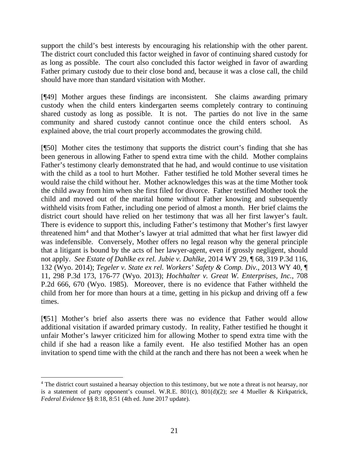support the child's best interests by encouraging his relationship with the other parent. The district court concluded this factor weighed in favor of continuing shared custody for as long as possible. The court also concluded this factor weighed in favor of awarding Father primary custody due to their close bond and, because it was a close call, the child should have more than standard visitation with Mother.

[¶49] Mother argues these findings are inconsistent. She claims awarding primary custody when the child enters kindergarten seems completely contrary to continuing shared custody as long as possible. It is not. The parties do not live in the same community and shared custody cannot continue once the child enters school. As explained above, the trial court properly accommodates the growing child.

[¶50] Mother cites the testimony that supports the district court's finding that she has been generous in allowing Father to spend extra time with the child. Mother complains Father's testimony clearly demonstrated that he had, and would continue to use visitation with the child as a tool to hurt Mother. Father testified he told Mother several times he would raise the child without her. Mother acknowledges this was at the time Mother took the child away from him when she first filed for divorce. Father testified Mother took the child and moved out of the marital home without Father knowing and subsequently withheld visits from Father, including one period of almost a month. Her brief claims the district court should have relied on her testimony that was all her first lawyer's fault. There is evidence to support this, including Father's testimony that Mother's first lawyer threatened him[4](#page-21-0) and that Mother's lawyer at trial admitted that what her first lawyer did was indefensible. Conversely, Mother offers no legal reason why the general principle that a litigant is bound by the acts of her lawyer-agent, even if grossly negligent, should not apply. *See Estate of Dahlke ex rel. Jubie v. Dahlke*, 2014 WY 29, ¶ 68, 319 P.3d 116, 132 (Wyo. 2014); *Tegeler v. State ex rel. Workers' Safety & Comp. Div.*, 2013 WY 40, ¶ 11, 298 P.3d 173, 176-77 (Wyo. 2013); *Hochhalter v. Great W. Enterprises, Inc.*, 708 P.2d 666, 670 (Wyo. 1985). Moreover, there is no evidence that Father withheld the child from her for more than hours at a time, getting in his pickup and driving off a few times.

[¶51] Mother's brief also asserts there was no evidence that Father would allow additional visitation if awarded primary custody. In reality, Father testified he thought it unfair Mother's lawyer criticized him for allowing Mother to spend extra time with the child if she had a reason like a family event. He also testified Mother has an open invitation to spend time with the child at the ranch and there has not been a week when he

<span id="page-21-0"></span><sup>&</sup>lt;sup>4</sup> The district court sustained a hearsay objection to this testimony, but we note a threat is not hearsay, nor is a statement of party opponent's counsel. W.R.E. 801(c), 801(d)(2); *see* 4 Mueller & Kirkpatrick, *Federal Evidence* §§ 8:18, 8:51 (4th ed. June 2017 update).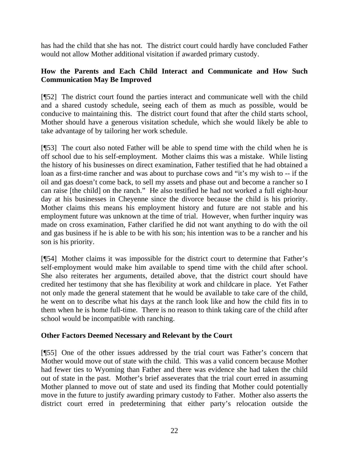has had the child that she has not. The district court could hardly have concluded Father would not allow Mother additional visitation if awarded primary custody.

# **How the Parents and Each Child Interact and Communicate and How Such Communication May Be Improved**

[¶52] The district court found the parties interact and communicate well with the child and a shared custody schedule, seeing each of them as much as possible, would be conducive to maintaining this. The district court found that after the child starts school, Mother should have a generous visitation schedule, which she would likely be able to take advantage of by tailoring her work schedule.

[¶53] The court also noted Father will be able to spend time with the child when he is off school due to his self-employment. Mother claims this was a mistake. While listing the history of his businesses on direct examination, Father testified that he had obtained a loan as a first-time rancher and was about to purchase cows and "it's my wish to -- if the oil and gas doesn't come back, to sell my assets and phase out and become a rancher so I can raise [the child] on the ranch." He also testified he had not worked a full eight-hour day at his businesses in Cheyenne since the divorce because the child is his priority. Mother claims this means his employment history and future are not stable and his employment future was unknown at the time of trial. However, when further inquiry was made on cross examination, Father clarified he did not want anything to do with the oil and gas business if he is able to be with his son; his intention was to be a rancher and his son is his priority.

[¶54] Mother claims it was impossible for the district court to determine that Father's self-employment would make him available to spend time with the child after school. She also reiterates her arguments, detailed above, that the district court should have credited her testimony that she has flexibility at work and childcare in place. Yet Father not only made the general statement that he would be available to take care of the child, he went on to describe what his days at the ranch look like and how the child fits in to them when he is home full-time. There is no reason to think taking care of the child after school would be incompatible with ranching.

# **Other Factors Deemed Necessary and Relevant by the Court**

[¶55] One of the other issues addressed by the trial court was Father's concern that Mother would move out of state with the child. This was a valid concern because Mother had fewer ties to Wyoming than Father and there was evidence she had taken the child out of state in the past. Mother's brief asseverates that the trial court erred in assuming Mother planned to move out of state and used its finding that Mother could potentially move in the future to justify awarding primary custody to Father. Mother also asserts the district court erred in predetermining that either party's relocation outside the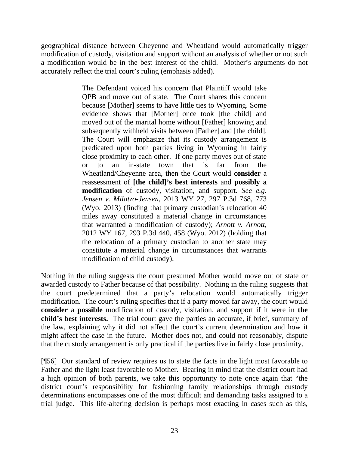geographical distance between Cheyenne and Wheatland would automatically trigger modification of custody, visitation and support without an analysis of whether or not such a modification would be in the best interest of the child. Mother's arguments do not accurately reflect the trial court's ruling (emphasis added).

> The Defendant voiced his concern that Plaintiff would take QPB and move out of state. The Court shares this concern because [Mother] seems to have little ties to Wyoming. Some evidence shows that [Mother] once took [the child] and moved out of the marital home without [Father] knowing and subsequently withheld visits between [Father] and [the child]. The Court will emphasize that its custody arrangement is predicated upon both parties living in Wyoming in fairly close proximity to each other. If one party moves out of state or to an in-state town that is far from the Wheatland/Cheyenne area, then the Court would **consider** a reassessment of **[the child]'s best interests** and **possibly a modification** of custody, visitation, and support. *See e.g. Jensen v. Milatzo-Jensen*, 2013 WY 27, 297 P.3d 768, 773 (Wyo. 2013) (finding that primary custodian's relocation 40 miles away constituted a material change in circumstances that warranted a modification of custody); *Arnott v. Arnott*, 2012 WY 167, 293 P.3d 440, 458 (Wyo. 2012) (holding that the relocation of a primary custodian to another state may constitute a material change in circumstances that warrants modification of child custody).

Nothing in the ruling suggests the court presumed Mother would move out of state or awarded custody to Father because of that possibility. Nothing in the ruling suggests that the court predetermined that a party's relocation would automatically trigger modification. The court's ruling specifies that if a party moved far away, the court would **consider** a **possible** modification of custody, visitation, and support if it were in **the child's best interests.** The trial court gave the parties an accurate, if brief, summary of the law, explaining why it did not affect the court's current determination and how it might affect the case in the future. Mother does not, and could not reasonably, dispute that the custody arrangement is only practical if the parties live in fairly close proximity.

[¶56] Our standard of review requires us to state the facts in the light most favorable to Father and the light least favorable to Mother. Bearing in mind that the district court had a high opinion of both parents, we take this opportunity to note once again that "the district court's responsibility for fashioning family relationships through custody determinations encompasses one of the most difficult and demanding tasks assigned to a trial judge. This life-altering decision is perhaps most exacting in cases such as this,